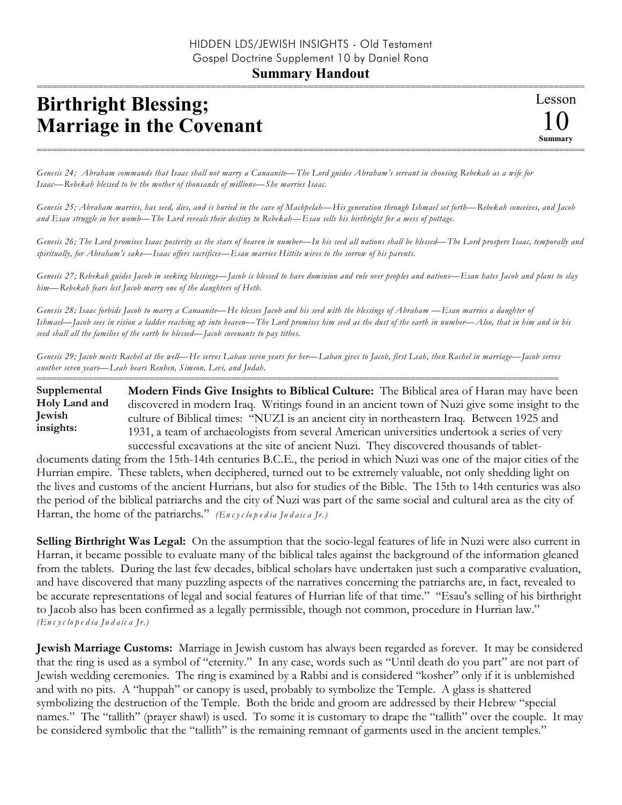## **Summary Handout**

## **Birthright Blessing; Marriage in the Covenant**

*Genesis 24; Abraham commands that Isaac shall not marry a Canaanite—The Lord guides Abraham's servant in choosing Rebekah as a wife for Isaac—Rebekah blessed to be the mother of thousands of millions—She marries Isaac.*

*Genesis 25; Abraham marries, has seed, dies, and is buried in the cave of Machpelah—His generation through Ishmael set forth—Rebekah conceives, and Jacob and Esau struggle in her womb—The Lord reveals their destiny to Rebekah—Esau sells his birthright for a mess of pottage.*

===========================================================================================================

*Genesis 26; The Lord promises Isaac posterity as the stars of heaven in number—In his seed all nations shall be blessed—The Lord prospers Isaac, temporally and spiritually, for Abraham's sake—Isaac offers sacrifices—Esau marries Hittite wives to the sorrow of his parents.*

*Genesis 27; Rebekah guides Jacob in seeking blessings—Jacob is blessed to have dominion and rule over peoples and nations—Esau hates Jacob and plans to slay him—Rebekah fears lest Jacob marry one of the daughters of Heth.*

*Genesis 28; Isaac forbids Jacob to marry a Canaanite—He blesses Jacob and his seed with the blessings of Abraham —Esau marries a daughter of Ishmael—Jacob sees in vision a ladder reaching up into heaven—The Lord promises him seed as the dust of the earth in number—Also, that in him and in his seed shall all the families of the earth be blessed—Jacob covenants to pay tithes.*

*Genesis 29; Jacob meets Rachel at the well—He serves Laban seven years for her—Laban gives to Jacob, first Leah, then Rachel in marriage—Jacob serves another seven years—Leah bears Reuben, Simeon, Levi, and Judah.* ======================================================================================================

**Modern Finds Give Insights to Biblical Culture:** The Biblical area of Haran may have been discovered in modern Iraq. Writings found in an ancient town of Nuzi give some insight to the culture of Biblical times: "NUZI is an ancient city in northeastern Iraq. Between 1925 and 1931, a team of archaeologists from several American universities undertook a series of very successful excavations at the site of ancient Nuzi. They discovered thousands of tablet-**Supplemental Holy Land and Jewish insights:**

documents dating from the 15th-14th centuries B.C.E., the period in which Nuzi was one of the major cities of the Hurrian empire. These tablets, when deciphered, turned out to be extremely valuable, not only shedding light on the lives and customs of the ancient Hurrians, but also for studies of the Bible. The 15th to 14th centuries was also the period of the biblical patriarchs and the city of Nuzi was part of the same social and cultural area as the city of Harran, the home of the patriarchs." *(En c y c lo p e d ia Ju d a ic a Jr.)*

**Selling Birthright Was Legal:** On the assumption that the socio-legal features of life in Nuzi were also current in Harran, it became possible to evaluate many of the biblical tales against the background of the information gleaned from the tablets. During the last few decades, biblical scholars have undertaken just such a comparative evaluation, and have discovered that many puzzling aspects of the narratives concerning the patriarchs are, in fact, revealed to be accurate representations of legal and social features of Hurrian life of that time." "Esau's selling of his birthright to Jacob also has been confirmed as a legally permissible, though not common, procedure in Hurrian law." *(En c y c lo p e d ia Ju d a ic a Jr.)*

**Jewish Marriage Customs:** Marriage in Jewish custom has always been regarded as forever. It may be considered that the ring is used as a symbol of "eternity." In any case, words such as "Until death do you part" are not part of Jewish wedding ceremonies. The ring is examined by a Rabbi and is considered "kosher" only if it is unblemished and with no pits. A "huppah" or canopy is used, probably to symbolize the Temple. A glass is shattered symbolizing the destruction of the Temple. Both the bride and groom are addressed by their Hebrew "special names." The "tallith" (prayer shawl) is used. To some it is customary to drape the "tallith" over the couple. It may be considered symbolic that the "tallith" is the remaining remnant of garments used in the ancient temples."